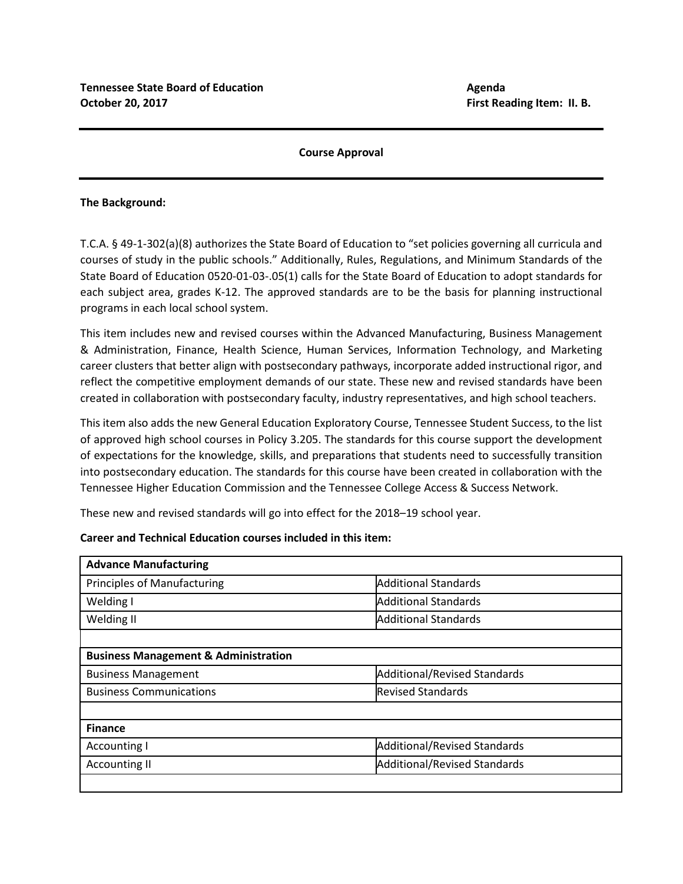# **Course Approval**

# **The Background:**

T.C.A. § 49-1-302(a)(8) authorizes the State Board of Education to "set policies governing all curricula and courses of study in the public schools." Additionally, Rules, Regulations, and Minimum Standards of the State Board of Education 0520-01-03-.05(1) calls for the State Board of Education to adopt standards for each subject area, grades K-12. The approved standards are to be the basis for planning instructional programs in each local school system.

This item includes new and revised courses within the Advanced Manufacturing, Business Management & Administration, Finance, Health Science, Human Services, Information Technology, and Marketing career clusters that better align with postsecondary pathways, incorporate added instructional rigor, and reflect the competitive employment demands of our state. These new and revised standards have been created in collaboration with postsecondary faculty, industry representatives, and high school teachers.

This item also adds the new General Education Exploratory Course, Tennessee Student Success, to the list of approved high school courses in Policy 3.205. The standards for this course support the development of expectations for the knowledge, skills, and preparations that students need to successfully transition into postsecondary education. The standards for this course have been created in collaboration with the Tennessee Higher Education Commission and the Tennessee College Access & Success Network.

These new and revised standards will go into effect for the 2018–19 school year.

| <b>Advance Manufacturing</b>                    |                                     |  |
|-------------------------------------------------|-------------------------------------|--|
| <b>Principles of Manufacturing</b>              | <b>Additional Standards</b>         |  |
| Welding I                                       | <b>Additional Standards</b>         |  |
| Welding II                                      | <b>Additional Standards</b>         |  |
|                                                 |                                     |  |
| <b>Business Management &amp; Administration</b> |                                     |  |
| <b>Business Management</b>                      | <b>Additional/Revised Standards</b> |  |
| <b>Business Communications</b>                  | <b>Revised Standards</b>            |  |
|                                                 |                                     |  |
| <b>Finance</b>                                  |                                     |  |
| <b>Accounting I</b>                             | <b>Additional/Revised Standards</b> |  |
| <b>Accounting II</b>                            | Additional/Revised Standards        |  |
|                                                 |                                     |  |

#### **Career and Technical Education courses included in this item:**